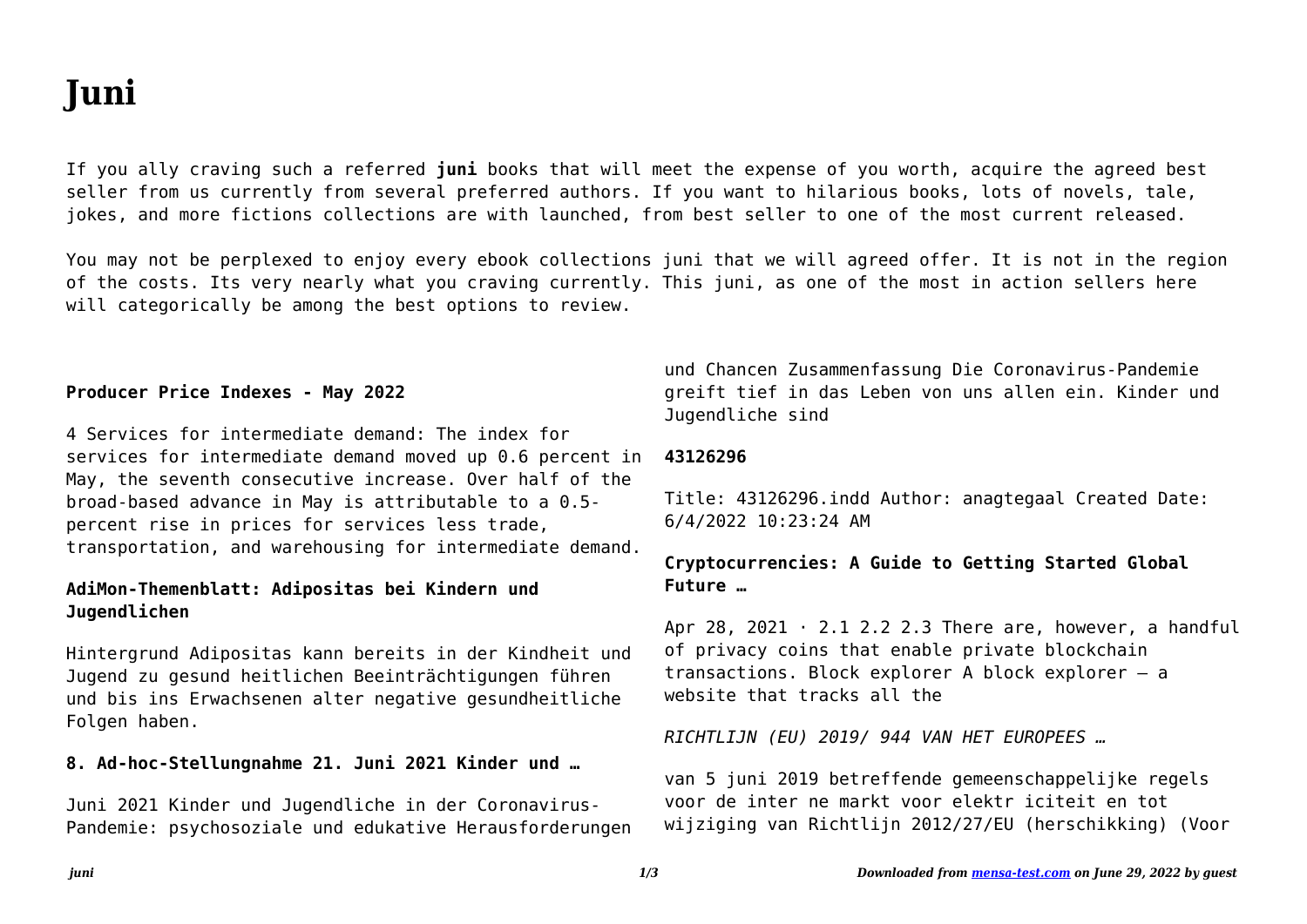# **Juni**

If you ally craving such a referred **juni** books that will meet the expense of you worth, acquire the agreed best seller from us currently from several preferred authors. If you want to hilarious books, lots of novels, tale, jokes, and more fictions collections are with launched, from best seller to one of the most current released.

You may not be perplexed to enjoy every ebook collections juni that we will agreed offer. It is not in the region of the costs. Its very nearly what you craving currently. This juni, as one of the most in action sellers here will categorically be among the best options to review.

## **Producer Price Indexes - May 2022**

4 Services for intermediate demand: The index for services for intermediate demand moved up 0.6 percent in May, the seventh consecutive increase. Over half of the broad-based advance in May is attributable to a 0.5 percent rise in prices for services less trade, transportation, and warehousing for intermediate demand.

# **AdiMon-Themenblatt: Adipositas bei Kindern und Jugendlichen**

Hintergrund Adipositas kann bereits in der Kindheit und Jugend zu gesund heitlichen Beeinträchtigungen führen und bis ins Erwachsenen alter negative gesundheitliche Folgen haben.

## **8. Ad-hoc-Stellungnahme 21. Juni 2021 Kinder und …**

Juni 2021 Kinder und Jugendliche in der Coronavirus-Pandemie: psychosoziale und edukative Herausforderungen und Chancen Zusammenfassung Die Coronavirus-Pandemie greift tief in das Leben von uns allen ein. Kinder und Jugendliche sind

## **43126296**

Title: 43126296.indd Author: anagtegaal Created Date: 6/4/2022 10:23:24 AM

# **Cryptocurrencies: A Guide to Getting Started Global Future …**

Apr 28, 2021  $\cdot$  2.1 2.2 2.3 There are, however, a handful of privacy coins that enable private blockchain transactions. Block explorer A block explorer – a website that tracks all the

*RICHTLIJN (EU) 2019/ 944 VAN HET EUROPEES …*

van 5 juni 2019 betreffende gemeenschappelijke regels voor de inter ne markt voor elektr iciteit en tot wijziging van Richtlijn 2012/27/EU (herschikking) (Voor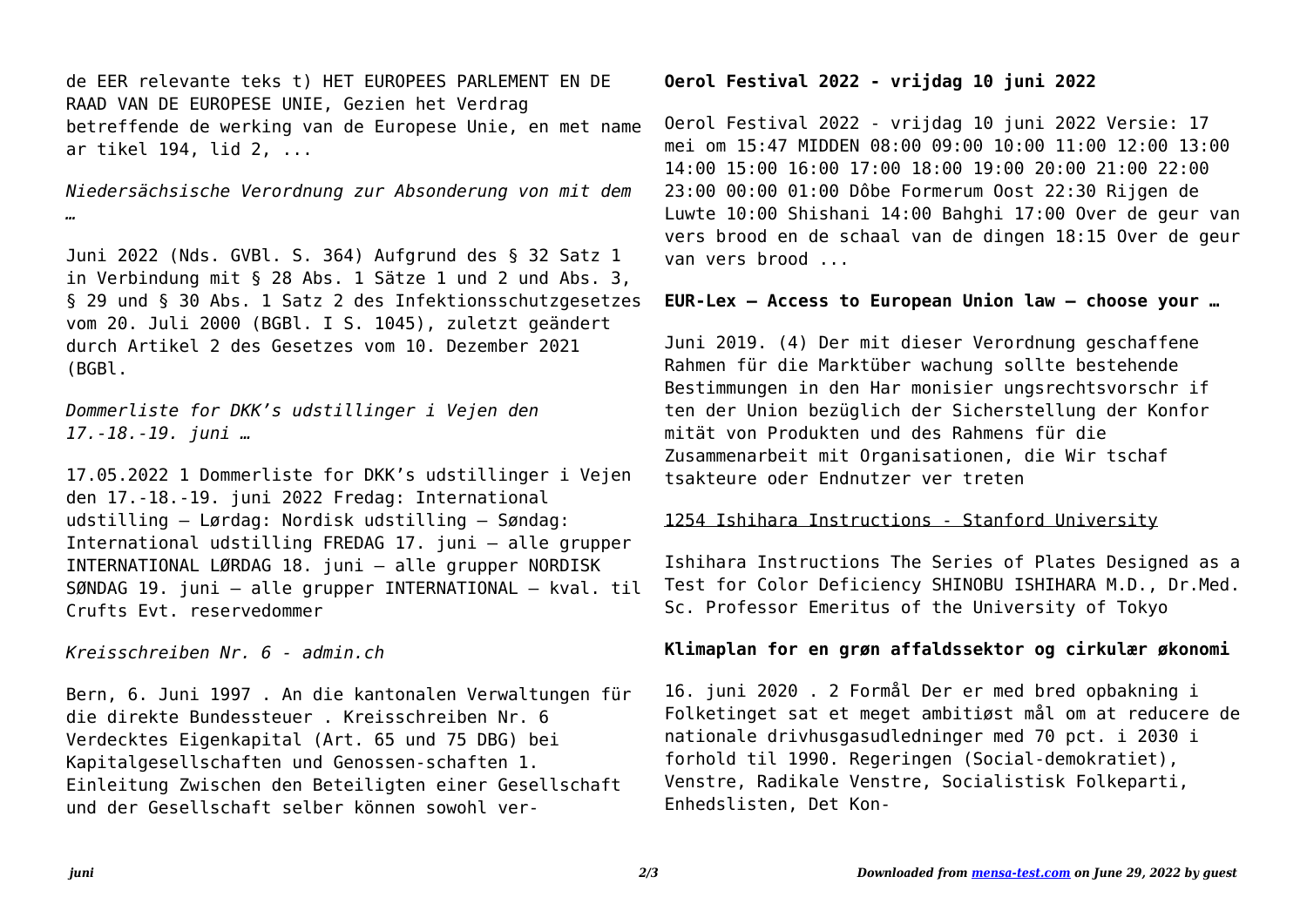de EER relevante teks t) HET EUROPEES PARLEMENT EN DE RAAD VAN DE EUROPESE UNIE, Gezien het Verdrag betreffende de werking van de Europese Unie, en met name ar tikel 194, lid 2, ...

*Niedersächsische Verordnung zur Absonderung von mit dem …*

Juni 2022 (Nds. GVBl. S. 364) Aufgrund des § 32 Satz 1 in Verbindung mit § 28 Abs. 1 Sätze 1 und 2 und Abs. 3, § 29 und § 30 Abs. 1 Satz 2 des Infektionsschutzgesetzes vom 20. Juli 2000 (BGBl. I S. 1045), zuletzt geändert durch Artikel 2 des Gesetzes vom 10. Dezember 2021 (BGBl.

*Dommerliste for DKK's udstillinger i Vejen den 17.-18.-19. juni …*

17.05.2022 1 Dommerliste for DKK's udstillinger i Vejen den 17.-18.-19. juni 2022 Fredag: International udstilling – Lørdag: Nordisk udstilling – Søndag: International udstilling FREDAG 17. juni – alle grupper INTERNATIONAL LØRDAG 18. juni – alle grupper NORDISK SØNDAG 19. juni – alle grupper INTERNATIONAL – kval. til Crufts Evt. reservedommer

*Kreisschreiben Nr. 6 - admin.ch*

Bern, 6. Juni 1997 . An die kantonalen Verwaltungen für die direkte Bundessteuer . Kreisschreiben Nr. 6 Verdecktes Eigenkapital (Art. 65 und 75 DBG) bei Kapitalgesellschaften und Genossen-schaften 1. Einleitung Zwischen den Beteiligten einer Gesellschaft und der Gesellschaft selber können sowohl ver-

## **Oerol Festival 2022 - vrijdag 10 juni 2022**

Oerol Festival 2022 - vrijdag 10 juni 2022 Versie: 17 mei om 15:47 MIDDEN 08:00 09:00 10:00 11:00 12:00 13:00 14:00 15:00 16:00 17:00 18:00 19:00 20:00 21:00 22:00 23:00 00:00 01:00 Dôbe Formerum Oost 22:30 Rijgen de Luwte 10:00 Shishani 14:00 Bahghi 17:00 Over de geur van vers brood en de schaal van de dingen 18:15 Over de geur van vers brood ...

## **EUR-Lex — Access to European Union law — choose your …**

Juni 2019. (4) Der mit dieser Verordnung geschaffene Rahmen für die Marktüber wachung sollte bestehende Bestimmungen in den Har monisier ungsrechtsvorschr if ten der Union bezüglich der Sicherstellung der Konfor mität von Produkten und des Rahmens für die Zusammenarbeit mit Organisationen, die Wir tschaf tsakteure oder Endnutzer ver treten

## 1254 Ishihara Instructions - Stanford University

Ishihara Instructions The Series of Plates Designed as a Test for Color Deficiency SHINOBU ISHIHARA M.D., Dr.Med. Sc. Professor Emeritus of the University of Tokyo

## **Klimaplan for en grøn affaldssektor og cirkulær økonomi**

16. juni 2020 . 2 Formål Der er med bred opbakning i Folketinget sat et meget ambitiøst mål om at reducere de nationale drivhusgasudledninger med 70 pct. i 2030 i forhold til 1990. Regeringen (Social-demokratiet), Venstre, Radikale Venstre, Socialistisk Folkeparti, Enhedslisten, Det Kon